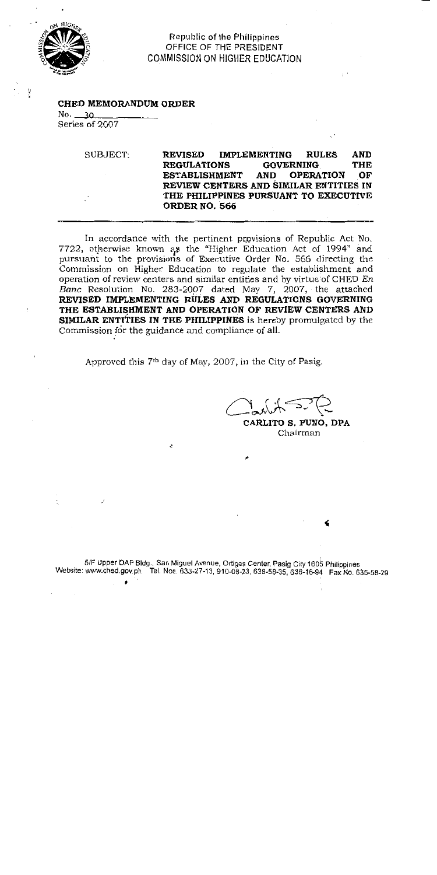

**Republic of the Philippines** OFFICE OF THE PRESIDENT **COMMISSION ON HIGHER EDUCATION** 

### CHED MEMORANDUM ORDER

 $No. 30$ Series of 2007

> SUBJECT: **REVISED IMPLEMENTING RULES AND REGULATIONS** THE **GOVERNING OPERATION** OF **ESTABLISHMENT AND** REVIEW CENTERS AND SIMILAR ENTITIES IN THE PHILIPPINES PURSUANT TO EXECUTIVE ORDER NO. 566

In accordance with the pertinent provisions of Republic Act No. 7722, otherwise known as the "Higher Education Act of 1994" and pursuant to the provisions of Executive Order No. 566 directing the Commission on Higher Education to regulate the establishment and operation of review centers and similar entities and by virtue of CHED En Banc Resolution No. 283-2007 dated May 7, 2007, the attached REVISED IMPLEMENTING RULES AND REGULATIONS GOVERNING THE ESTABLISHMENT AND OPERATION OF REVIEW CENTERS AND **SIMILAR ENTITIES IN THE PHILIPPINES** is hereby promulgated by the Commission for the guidance and compliance of all.

Approved this 7<sup>th</sup> day of May, 2007, in the City of Pasig.

CARLITO S. PUNO, DPA Chairman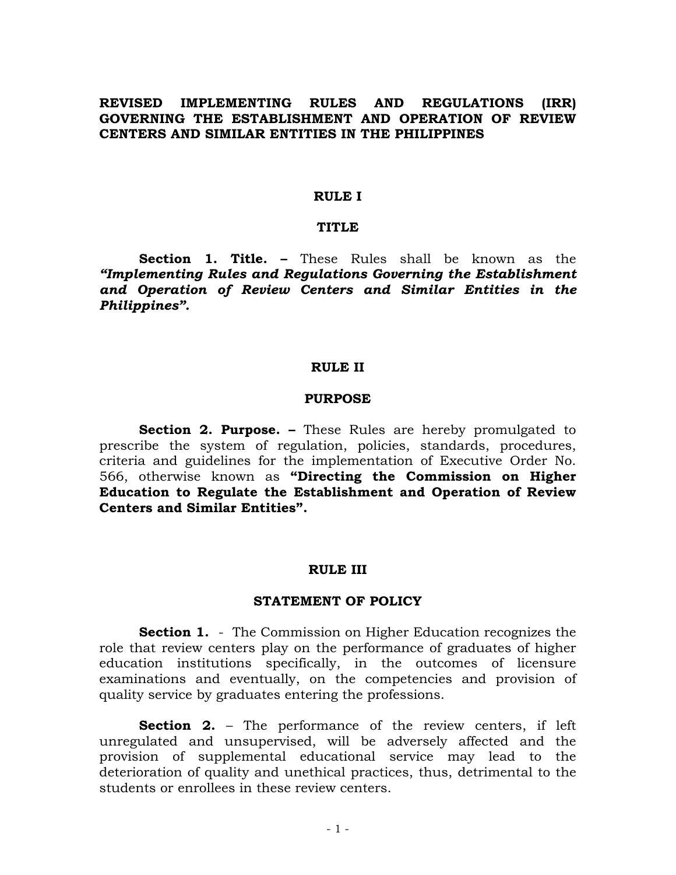## **REVISED IMPLEMENTING RULES AND REGULATIONS (IRR) GOVERNING THE ESTABLISHMENT AND OPERATION OF REVIEW CENTERS AND SIMILAR ENTITIES IN THE PHILIPPINES**

#### **RULE I**

#### **TITLE**

 **Section 1. Title. –** These Rules shall be known as the *"Implementing Rules and Regulations Governing the Establishment and Operation of Review Centers and Similar Entities in the Philippines".* 

#### **RULE II**

#### **PURPOSE**

**Section 2. Purpose. –** These Rules are hereby promulgated to prescribe the system of regulation, policies, standards, procedures, criteria and guidelines for the implementation of Executive Order No. 566, otherwise known as **"Directing the Commission on Higher Education to Regulate the Establishment and Operation of Review Centers and Similar Entities".** 

#### **RULE III**

### **STATEMENT OF POLICY**

**Section 1.** - The Commission on Higher Education recognizes the role that review centers play on the performance of graduates of higher education institutions specifically, in the outcomes of licensure examinations and eventually, on the competencies and provision of quality service by graduates entering the professions.

**Section 2.** – The performance of the review centers, if left unregulated and unsupervised, will be adversely affected and the provision of supplemental educational service may lead to the deterioration of quality and unethical practices, thus, detrimental to the students or enrollees in these review centers.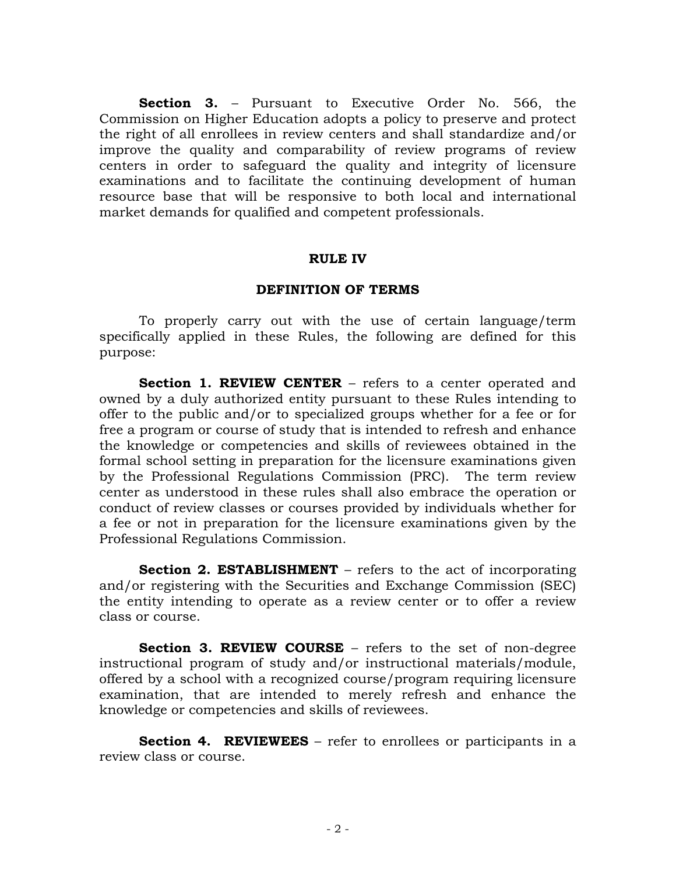**Section 3.** – Pursuant to Executive Order No. 566, the Commission on Higher Education adopts a policy to preserve and protect the right of all enrollees in review centers and shall standardize and/or improve the quality and comparability of review programs of review centers in order to safeguard the quality and integrity of licensure examinations and to facilitate the continuing development of human resource base that will be responsive to both local and international market demands for qualified and competent professionals.

### **RULE IV**

### **DEFINITION OF TERMS**

To properly carry out with the use of certain language/term specifically applied in these Rules, the following are defined for this purpose:

**Section 1. REVIEW CENTER** – refers to a center operated and owned by a duly authorized entity pursuant to these Rules intending to offer to the public and/or to specialized groups whether for a fee or for free a program or course of study that is intended to refresh and enhance the knowledge or competencies and skills of reviewees obtained in the formal school setting in preparation for the licensure examinations given by the Professional Regulations Commission (PRC). The term review center as understood in these rules shall also embrace the operation or conduct of review classes or courses provided by individuals whether for a fee or not in preparation for the licensure examinations given by the Professional Regulations Commission.

**Section 2. ESTABLISHMENT** – refers to the act of incorporating and/or registering with the Securities and Exchange Commission (SEC) the entity intending to operate as a review center or to offer a review class or course.

**Section 3. REVIEW COURSE** – refers to the set of non-degree instructional program of study and/or instructional materials/module, offered by a school with a recognized course/program requiring licensure examination, that are intended to merely refresh and enhance the knowledge or competencies and skills of reviewees.

**Section 4. REVIEWEES** – refer to enrollees or participants in a review class or course.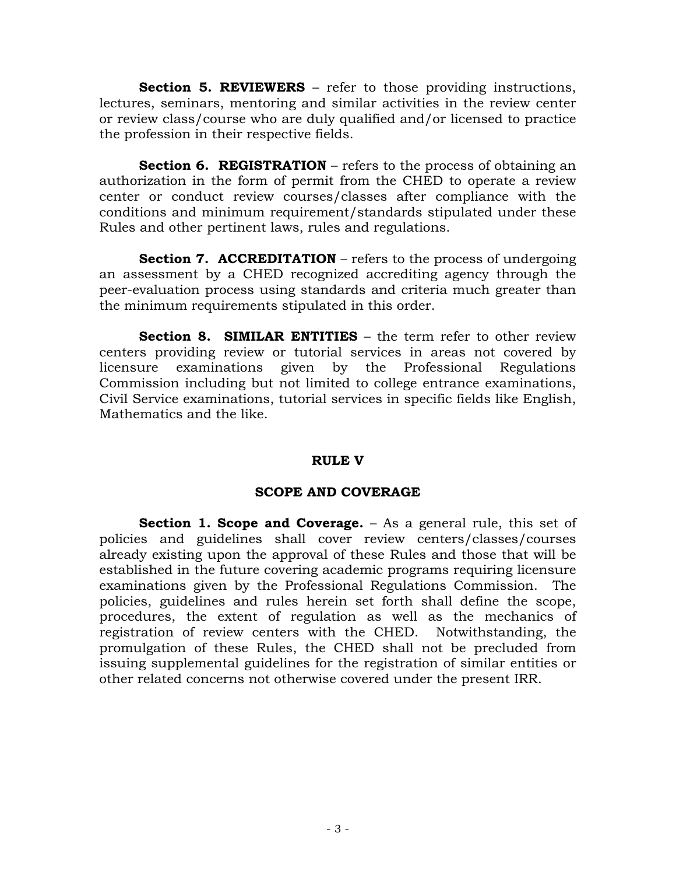**Section 5. REVIEWERS** – refer to those providing instructions, lectures, seminars, mentoring and similar activities in the review center or review class/course who are duly qualified and/or licensed to practice the profession in their respective fields.

**Section 6. REGISTRATION** – refers to the process of obtaining an authorization in the form of permit from the CHED to operate a review center or conduct review courses/classes after compliance with the conditions and minimum requirement/standards stipulated under these Rules and other pertinent laws, rules and regulations.

**Section 7. ACCREDITATION** – refers to the process of undergoing an assessment by a CHED recognized accrediting agency through the peer-evaluation process using standards and criteria much greater than the minimum requirements stipulated in this order.

**Section 8. SIMILAR ENTITIES** – the term refer to other review centers providing review or tutorial services in areas not covered by licensure examinations given by the Professional Regulations Commission including but not limited to college entrance examinations, Civil Service examinations, tutorial services in specific fields like English, Mathematics and the like.

# **RULE V**

# **SCOPE AND COVERAGE**

**Section 1. Scope and Coverage.** – As a general rule, this set of policies and guidelines shall cover review centers/classes/courses already existing upon the approval of these Rules and those that will be established in the future covering academic programs requiring licensure examinations given by the Professional Regulations Commission. The policies, guidelines and rules herein set forth shall define the scope, procedures, the extent of regulation as well as the mechanics of registration of review centers with the CHED. Notwithstanding, the promulgation of these Rules, the CHED shall not be precluded from issuing supplemental guidelines for the registration of similar entities or other related concerns not otherwise covered under the present IRR.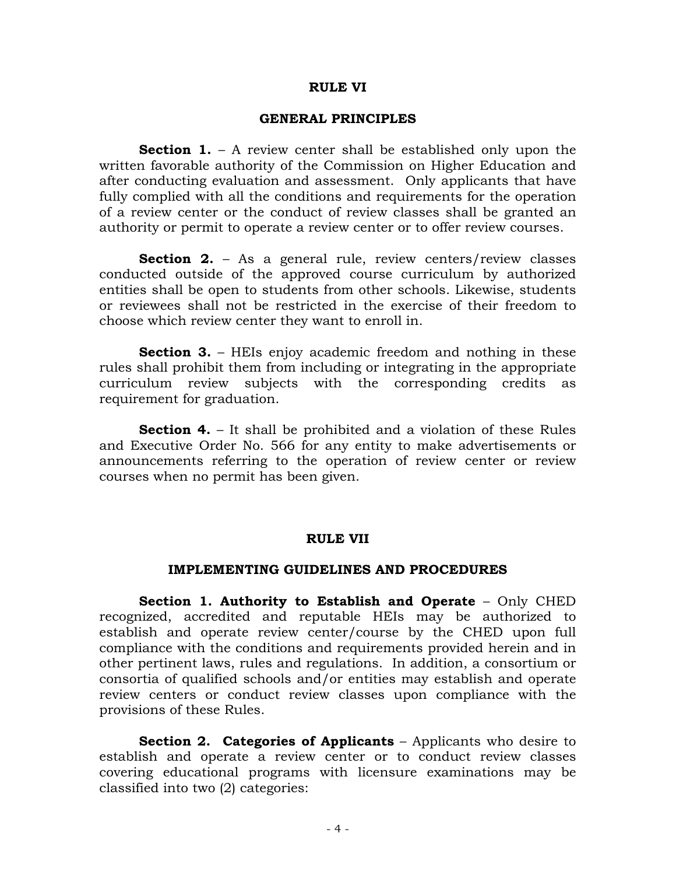### **RULE VI**

### **GENERAL PRINCIPLES**

**Section 1.** – A review center shall be established only upon the written favorable authority of the Commission on Higher Education and after conducting evaluation and assessment. Only applicants that have fully complied with all the conditions and requirements for the operation of a review center or the conduct of review classes shall be granted an authority or permit to operate a review center or to offer review courses.

**Section 2.** – As a general rule, review centers/review classes conducted outside of the approved course curriculum by authorized entities shall be open to students from other schools. Likewise, students or reviewees shall not be restricted in the exercise of their freedom to choose which review center they want to enroll in.

**Section 3.** – HEIs enjoy academic freedom and nothing in these rules shall prohibit them from including or integrating in the appropriate curriculum review subjects with the corresponding credits as requirement for graduation.

**Section 4.** – It shall be prohibited and a violation of these Rules and Executive Order No. 566 for any entity to make advertisements or announcements referring to the operation of review center or review courses when no permit has been given.

### **RULE VII**

### **IMPLEMENTING GUIDELINES AND PROCEDURES**

 **Section 1. Authority to Establish and Operate** – Only CHED recognized, accredited and reputable HEIs may be authorized to establish and operate review center/course by the CHED upon full compliance with the conditions and requirements provided herein and in other pertinent laws, rules and regulations. In addition, a consortium or consortia of qualified schools and/or entities may establish and operate review centers or conduct review classes upon compliance with the provisions of these Rules.

**Section 2. Categories of Applicants** – Applicants who desire to establish and operate a review center or to conduct review classes covering educational programs with licensure examinations may be classified into two (2) categories: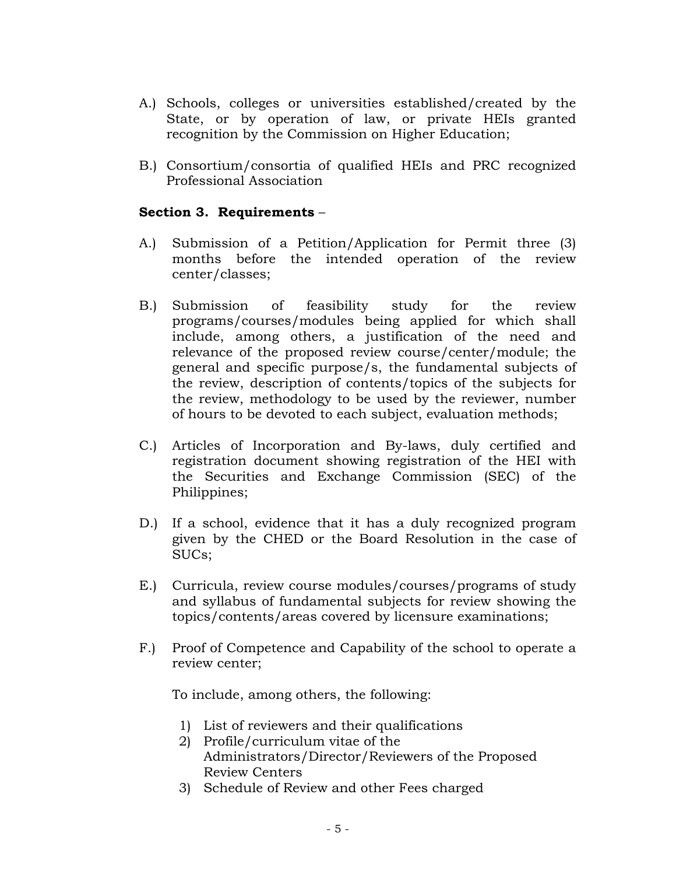- A.) Schools, colleges or universities established/created by the State, or by operation of law, or private HEIs granted recognition by the Commission on Higher Education;
- B.) Consortium/consortia of qualified HEIs and PRC recognized Professional Association

# **Section 3. Requirements** –

- A.) Submission of a Petition/Application for Permit three (3) months before the intended operation of the review center/classes;
- B.) Submission of feasibility study for the review programs/courses/modules being applied for which shall include, among others, a justification of the need and relevance of the proposed review course/center/module; the general and specific purpose/s, the fundamental subjects of the review, description of contents/topics of the subjects for the review, methodology to be used by the reviewer, number of hours to be devoted to each subject, evaluation methods;
- C.) Articles of Incorporation and By-laws, duly certified and registration document showing registration of the HEI with the Securities and Exchange Commission (SEC) of the Philippines;
- D.) If a school, evidence that it has a duly recognized program given by the CHED or the Board Resolution in the case of SUCs;
- E.) Curricula, review course modules/courses/programs of study and syllabus of fundamental subjects for review showing the topics/contents/areas covered by licensure examinations;
- F.) Proof of Competence and Capability of the school to operate a review center;

To include, among others, the following:

- 1) List of reviewers and their qualifications
- 2) Profile/curriculum vitae of the Administrators/Director/Reviewers of the Proposed Review Centers
- 3) Schedule of Review and other Fees charged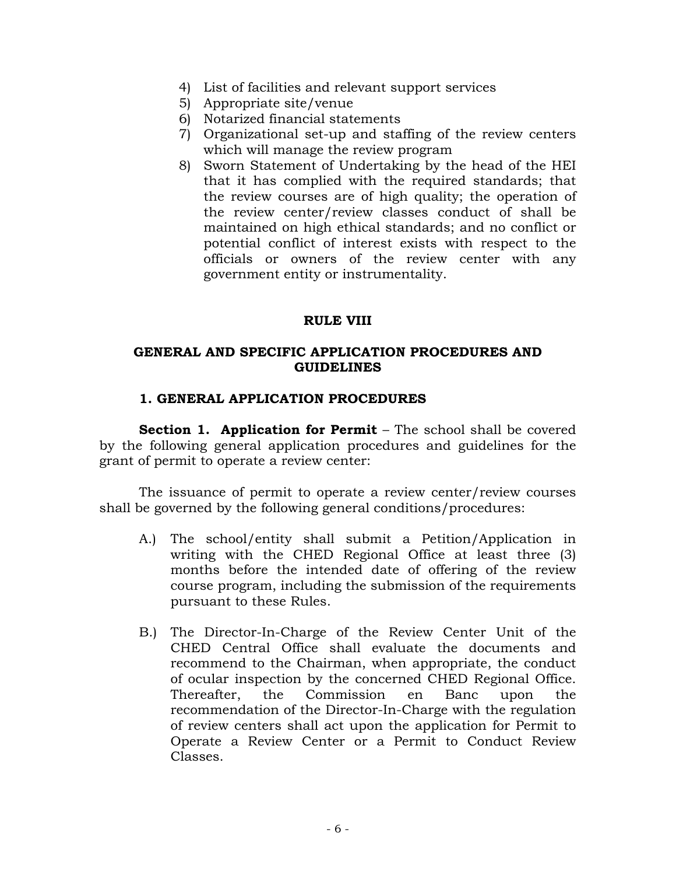- 4) List of facilities and relevant support services
- 5) Appropriate site/venue
- 6) Notarized financial statements
- 7) Organizational set-up and staffing of the review centers which will manage the review program
- 8) Sworn Statement of Undertaking by the head of the HEI that it has complied with the required standards; that the review courses are of high quality; the operation of the review center/review classes conduct of shall be maintained on high ethical standards; and no conflict or potential conflict of interest exists with respect to the officials or owners of the review center with any government entity or instrumentality.

## **RULE VIII**

## **GENERAL AND SPECIFIC APPLICATION PROCEDURES AND GUIDELINES**

## **1. GENERAL APPLICATION PROCEDURES**

**Section 1. Application for Permit** – The school shall be covered by the following general application procedures and guidelines for the grant of permit to operate a review center:

 The issuance of permit to operate a review center/review courses shall be governed by the following general conditions/procedures:

- A.) The school/entity shall submit a Petition/Application in writing with the CHED Regional Office at least three (3) months before the intended date of offering of the review course program, including the submission of the requirements pursuant to these Rules.
- B.) The Director-In-Charge of the Review Center Unit of the CHED Central Office shall evaluate the documents and recommend to the Chairman, when appropriate, the conduct of ocular inspection by the concerned CHED Regional Office. Thereafter, the Commission en Banc upon the recommendation of the Director-In-Charge with the regulation of review centers shall act upon the application for Permit to Operate a Review Center or a Permit to Conduct Review Classes.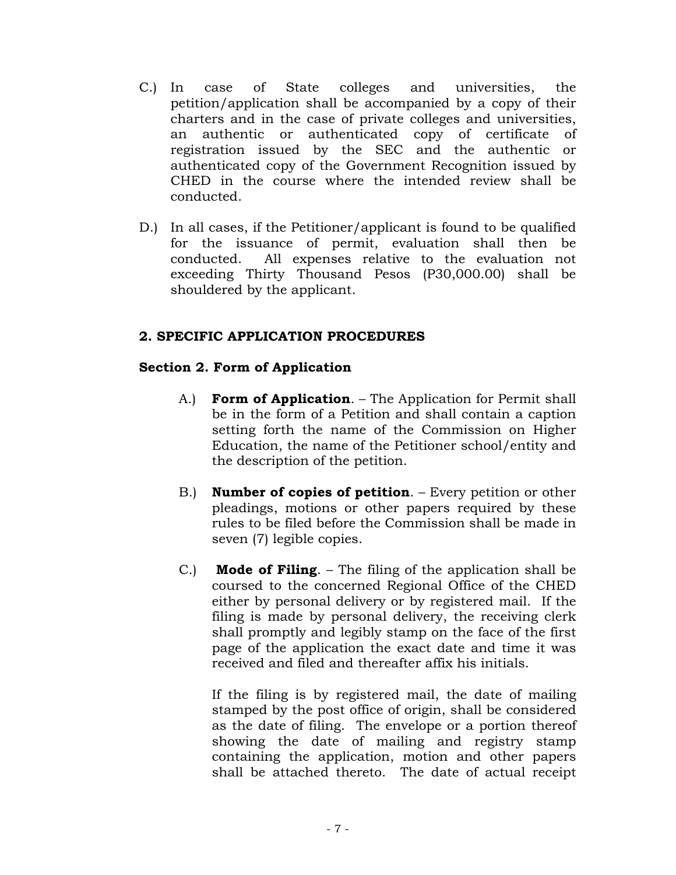- C.) In case of State colleges and universities, the petition/application shall be accompanied by a copy of their charters and in the case of private colleges and universities, an authentic or authenticated copy of certificate of registration issued by the SEC and the authentic or authenticated copy of the Government Recognition issued by CHED in the course where the intended review shall be conducted.
- D.) In all cases, if the Petitioner/applicant is found to be qualified for the issuance of permit, evaluation shall then be conducted. All expenses relative to the evaluation not exceeding Thirty Thousand Pesos (P30,000.00) shall be shouldered by the applicant.

# **2. SPECIFIC APPLICATION PROCEDURES**

# **Section 2. Form of Application**

- A.) **Form of Application**. The Application for Permit shall be in the form of a Petition and shall contain a caption setting forth the name of the Commission on Higher Education, the name of the Petitioner school/entity and the description of the petition.
- B.) **Number of copies of petition**. Every petition or other pleadings, motions or other papers required by these rules to be filed before the Commission shall be made in seven (7) legible copies.
- C.) **Mode of Filing**. The filing of the application shall be coursed to the concerned Regional Office of the CHED either by personal delivery or by registered mail. If the filing is made by personal delivery, the receiving clerk shall promptly and legibly stamp on the face of the first page of the application the exact date and time it was received and filed and thereafter affix his initials.

If the filing is by registered mail, the date of mailing stamped by the post office of origin, shall be considered as the date of filing. The envelope or a portion thereof showing the date of mailing and registry stamp containing the application, motion and other papers shall be attached thereto. The date of actual receipt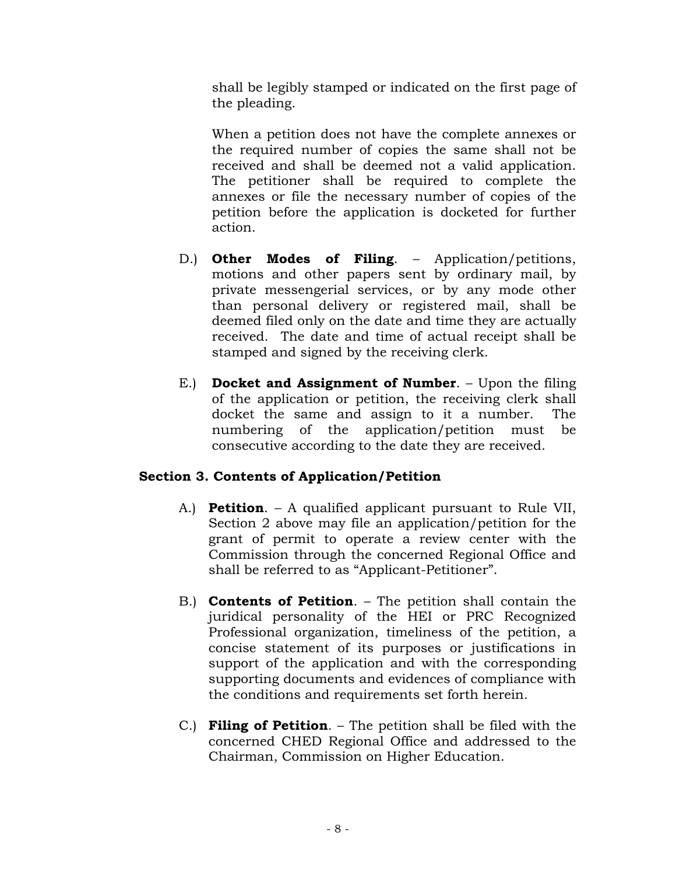shall be legibly stamped or indicated on the first page of the pleading.

When a petition does not have the complete annexes or the required number of copies the same shall not be received and shall be deemed not a valid application. The petitioner shall be required to complete the annexes or file the necessary number of copies of the petition before the application is docketed for further action.

- D.) **Other Modes of Filing**. Application/petitions, motions and other papers sent by ordinary mail, by private messengerial services, or by any mode other than personal delivery or registered mail, shall be deemed filed only on the date and time they are actually received. The date and time of actual receipt shall be stamped and signed by the receiving clerk.
- E.) **Docket and Assignment of Number**. Upon the filing of the application or petition, the receiving clerk shall docket the same and assign to it a number. The numbering of the application/petition must be consecutive according to the date they are received.

# **Section 3. Contents of Application/Petition**

- A.) **Petition**. A qualified applicant pursuant to Rule VII, Section 2 above may file an application/petition for the grant of permit to operate a review center with the Commission through the concerned Regional Office and shall be referred to as "Applicant-Petitioner".
- B.) **Contents of Petition**. The petition shall contain the juridical personality of the HEI or PRC Recognized Professional organization, timeliness of the petition, a concise statement of its purposes or justifications in support of the application and with the corresponding supporting documents and evidences of compliance with the conditions and requirements set forth herein.
- C.) **Filing of Petition**. The petition shall be filed with the concerned CHED Regional Office and addressed to the Chairman, Commission on Higher Education.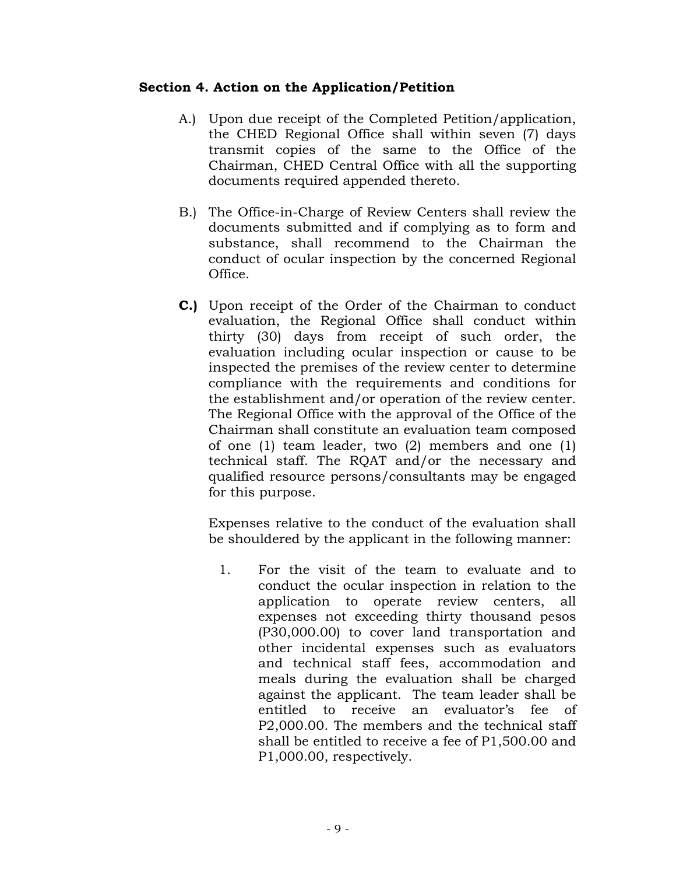# **Section 4. Action on the Application/Petition**

- A.) Upon due receipt of the Completed Petition/application, the CHED Regional Office shall within seven (7) days transmit copies of the same to the Office of the Chairman, CHED Central Office with all the supporting documents required appended thereto.
- B.) The Office-in-Charge of Review Centers shall review the documents submitted and if complying as to form and substance, shall recommend to the Chairman the conduct of ocular inspection by the concerned Regional Office.
- **C.)** Upon receipt of the Order of the Chairman to conduct evaluation, the Regional Office shall conduct within thirty (30) days from receipt of such order, the evaluation including ocular inspection or cause to be inspected the premises of the review center to determine compliance with the requirements and conditions for the establishment and/or operation of the review center. The Regional Office with the approval of the Office of the Chairman shall constitute an evaluation team composed of one (1) team leader, two (2) members and one (1) technical staff. The RQAT and/or the necessary and qualified resource persons/consultants may be engaged for this purpose.

Expenses relative to the conduct of the evaluation shall be shouldered by the applicant in the following manner:

1. For the visit of the team to evaluate and to conduct the ocular inspection in relation to the application to operate review centers, all expenses not exceeding thirty thousand pesos (P30,000.00) to cover land transportation and other incidental expenses such as evaluators and technical staff fees, accommodation and meals during the evaluation shall be charged against the applicant. The team leader shall be entitled to receive an evaluator's fee of P2,000.00. The members and the technical staff shall be entitled to receive a fee of P1,500.00 and P1,000.00, respectively.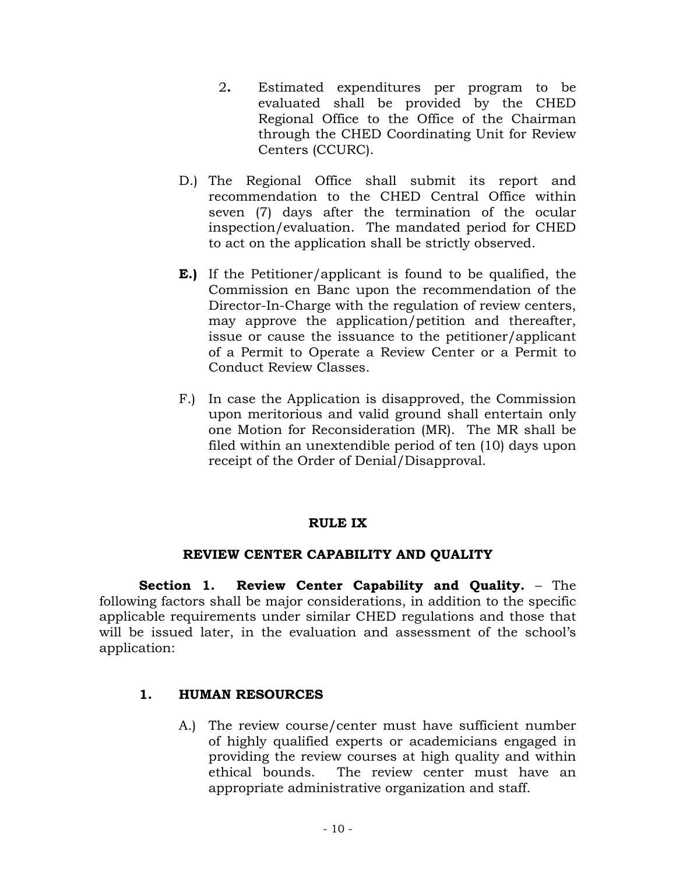- 2**.** Estimated expenditures per program to be evaluated shall be provided by the CHED Regional Office to the Office of the Chairman through the CHED Coordinating Unit for Review Centers (CCURC).
- D.) The Regional Office shall submit its report and recommendation to the CHED Central Office within seven (7) days after the termination of the ocular inspection/evaluation. The mandated period for CHED to act on the application shall be strictly observed.
- **E.)** If the Petitioner/applicant is found to be qualified, the Commission en Banc upon the recommendation of the Director-In-Charge with the regulation of review centers, may approve the application/petition and thereafter, issue or cause the issuance to the petitioner/applicant of a Permit to Operate a Review Center or a Permit to Conduct Review Classes.
- F.) In case the Application is disapproved, the Commission upon meritorious and valid ground shall entertain only one Motion for Reconsideration (MR). The MR shall be filed within an unextendible period of ten (10) days upon receipt of the Order of Denial/Disapproval.

# **RULE IX**

# **REVIEW CENTER CAPABILITY AND QUALITY**

 **Section 1. Review Center Capability and Quality.** – The following factors shall be major considerations, in addition to the specific applicable requirements under similar CHED regulations and those that will be issued later, in the evaluation and assessment of the school's application:

# **1. HUMAN RESOURCES**

A.) The review course/center must have sufficient number of highly qualified experts or academicians engaged in providing the review courses at high quality and within ethical bounds. The review center must have an appropriate administrative organization and staff.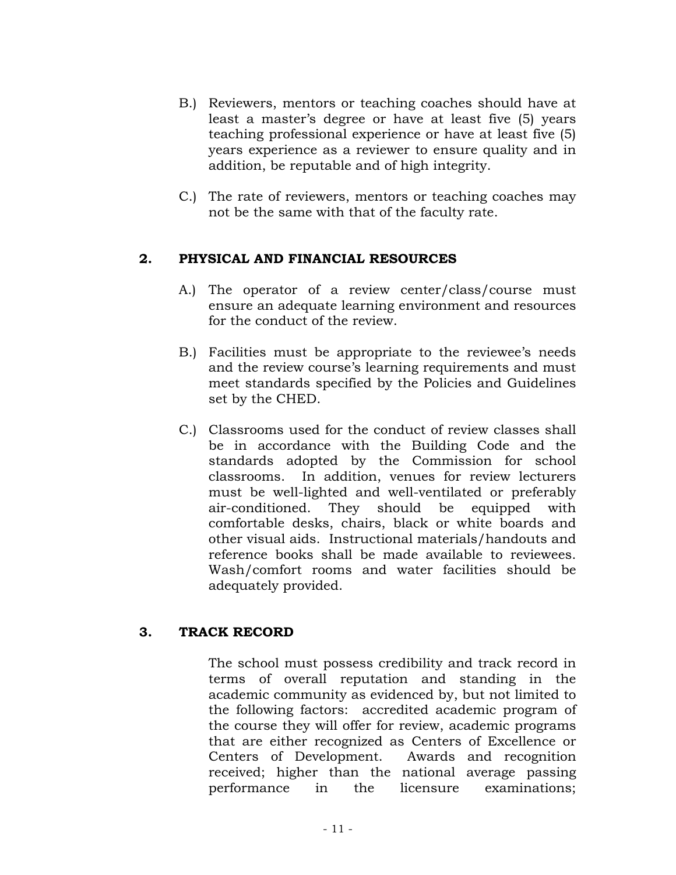- B.) Reviewers, mentors or teaching coaches should have at least a master's degree or have at least five (5) years teaching professional experience or have at least five (5) years experience as a reviewer to ensure quality and in addition, be reputable and of high integrity.
- C.) The rate of reviewers, mentors or teaching coaches may not be the same with that of the faculty rate.

## **2. PHYSICAL AND FINANCIAL RESOURCES**

- A.) The operator of a review center/class/course must ensure an adequate learning environment and resources for the conduct of the review.
- B.) Facilities must be appropriate to the reviewee's needs and the review course's learning requirements and must meet standards specified by the Policies and Guidelines set by the CHED.
- C.) Classrooms used for the conduct of review classes shall be in accordance with the Building Code and the standards adopted by the Commission for school classrooms. In addition, venues for review lecturers must be well-lighted and well-ventilated or preferably air-conditioned. They should be equipped with comfortable desks, chairs, black or white boards and other visual aids. Instructional materials/handouts and reference books shall be made available to reviewees. Wash/comfort rooms and water facilities should be adequately provided.

# **3. TRACK RECORD**

The school must possess credibility and track record in terms of overall reputation and standing in the academic community as evidenced by, but not limited to the following factors: accredited academic program of the course they will offer for review, academic programs that are either recognized as Centers of Excellence or Centers of Development. Awards and recognition received; higher than the national average passing performance in the licensure examinations;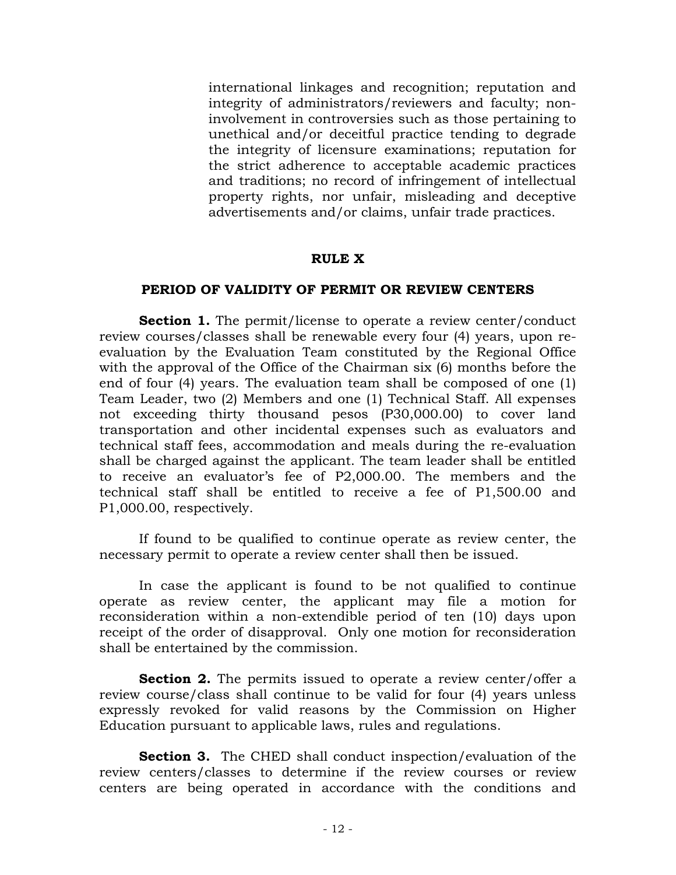international linkages and recognition; reputation and integrity of administrators/reviewers and faculty; noninvolvement in controversies such as those pertaining to unethical and/or deceitful practice tending to degrade the integrity of licensure examinations; reputation for the strict adherence to acceptable academic practices and traditions; no record of infringement of intellectual property rights, nor unfair, misleading and deceptive advertisements and/or claims, unfair trade practices.

### **RULE X**

### **PERIOD OF VALIDITY OF PERMIT OR REVIEW CENTERS**

**Section 1.** The permit/license to operate a review center/conduct review courses/classes shall be renewable every four (4) years, upon reevaluation by the Evaluation Team constituted by the Regional Office with the approval of the Office of the Chairman six (6) months before the end of four (4) years. The evaluation team shall be composed of one (1) Team Leader, two (2) Members and one (1) Technical Staff. All expenses not exceeding thirty thousand pesos (P30,000.00) to cover land transportation and other incidental expenses such as evaluators and technical staff fees, accommodation and meals during the re-evaluation shall be charged against the applicant. The team leader shall be entitled to receive an evaluator's fee of P2,000.00. The members and the technical staff shall be entitled to receive a fee of P1,500.00 and P1,000.00, respectively.

If found to be qualified to continue operate as review center, the necessary permit to operate a review center shall then be issued.

In case the applicant is found to be not qualified to continue operate as review center, the applicant may file a motion for reconsideration within a non-extendible period of ten (10) days upon receipt of the order of disapproval. Only one motion for reconsideration shall be entertained by the commission.

**Section 2.** The permits issued to operate a review center/offer a review course/class shall continue to be valid for four (4) years unless expressly revoked for valid reasons by the Commission on Higher Education pursuant to applicable laws, rules and regulations.

**Section 3.** The CHED shall conduct inspection/evaluation of the review centers/classes to determine if the review courses or review centers are being operated in accordance with the conditions and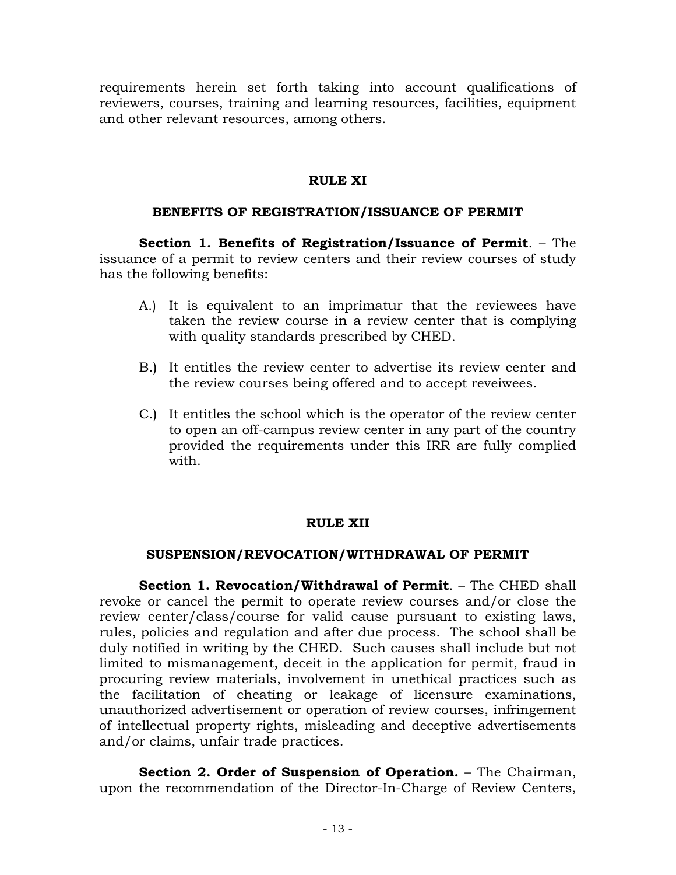requirements herein set forth taking into account qualifications of reviewers, courses, training and learning resources, facilities, equipment and other relevant resources, among others.

# **RULE XI**

# **BENEFITS OF REGISTRATION/ISSUANCE OF PERMIT**

 **Section 1. Benefits of Registration/Issuance of Permit**. – The issuance of a permit to review centers and their review courses of study has the following benefits:

- A.) It is equivalent to an imprimatur that the reviewees have taken the review course in a review center that is complying with quality standards prescribed by CHED.
- B.) It entitles the review center to advertise its review center and the review courses being offered and to accept reveiwees.
- C.) It entitles the school which is the operator of the review center to open an off-campus review center in any part of the country provided the requirements under this IRR are fully complied with.

# **RULE XII**

# **SUSPENSION/REVOCATION/WITHDRAWAL OF PERMIT**

 **Section 1. Revocation/Withdrawal of Permit**. – The CHED shall revoke or cancel the permit to operate review courses and/or close the review center/class/course for valid cause pursuant to existing laws, rules, policies and regulation and after due process. The school shall be duly notified in writing by the CHED. Such causes shall include but not limited to mismanagement, deceit in the application for permit, fraud in procuring review materials, involvement in unethical practices such as the facilitation of cheating or leakage of licensure examinations, unauthorized advertisement or operation of review courses, infringement of intellectual property rights, misleading and deceptive advertisements and/or claims, unfair trade practices.

**Section 2. Order of Suspension of Operation.** – The Chairman, upon the recommendation of the Director-In-Charge of Review Centers,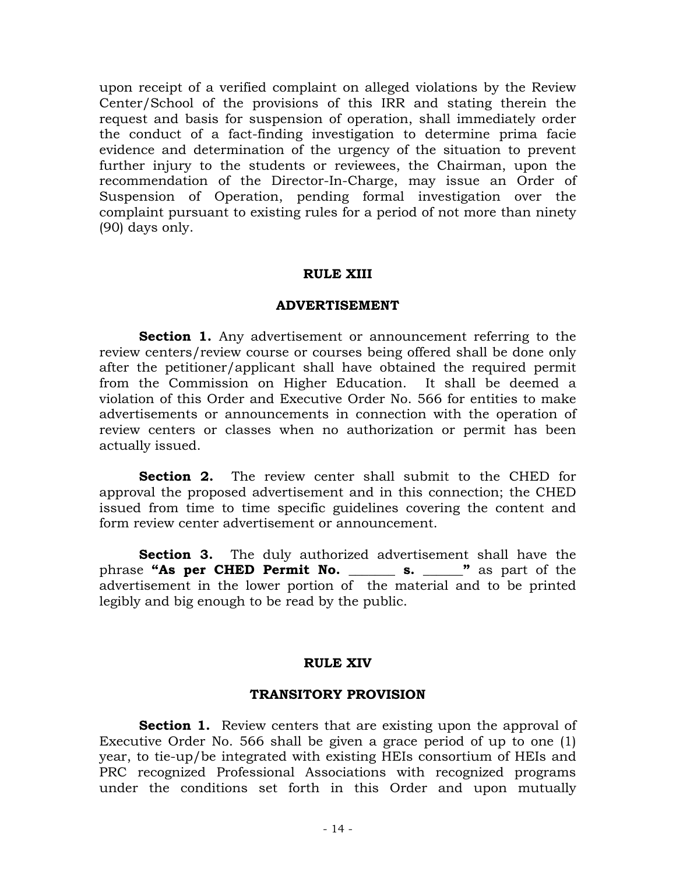upon receipt of a verified complaint on alleged violations by the Review Center/School of the provisions of this IRR and stating therein the request and basis for suspension of operation, shall immediately order the conduct of a fact-finding investigation to determine prima facie evidence and determination of the urgency of the situation to prevent further injury to the students or reviewees, the Chairman, upon the recommendation of the Director-In-Charge, may issue an Order of Suspension of Operation, pending formal investigation over the complaint pursuant to existing rules for a period of not more than ninety (90) days only.

### **RULE XIII**

#### **ADVERTISEMENT**

**Section 1.** Any advertisement or announcement referring to the review centers/review course or courses being offered shall be done only after the petitioner/applicant shall have obtained the required permit from the Commission on Higher Education. It shall be deemed a violation of this Order and Executive Order No. 566 for entities to make advertisements or announcements in connection with the operation of review centers or classes when no authorization or permit has been actually issued.

**Section 2.** The review center shall submit to the CHED for approval the proposed advertisement and in this connection; the CHED issued from time to time specific guidelines covering the content and form review center advertisement or announcement.

**Section 3.** The duly authorized advertisement shall have the phrase **"As per CHED Permit No. \_\_\_\_\_\_\_ s. \_\_\_\_\_\_"** as part of the advertisement in the lower portion of the material and to be printed legibly and big enough to be read by the public.

### **RULE XIV**

### **TRANSITORY PROVISION**

**Section 1.** Review centers that are existing upon the approval of Executive Order No. 566 shall be given a grace period of up to one (1) year, to tie-up/be integrated with existing HEIs consortium of HEIs and PRC recognized Professional Associations with recognized programs under the conditions set forth in this Order and upon mutually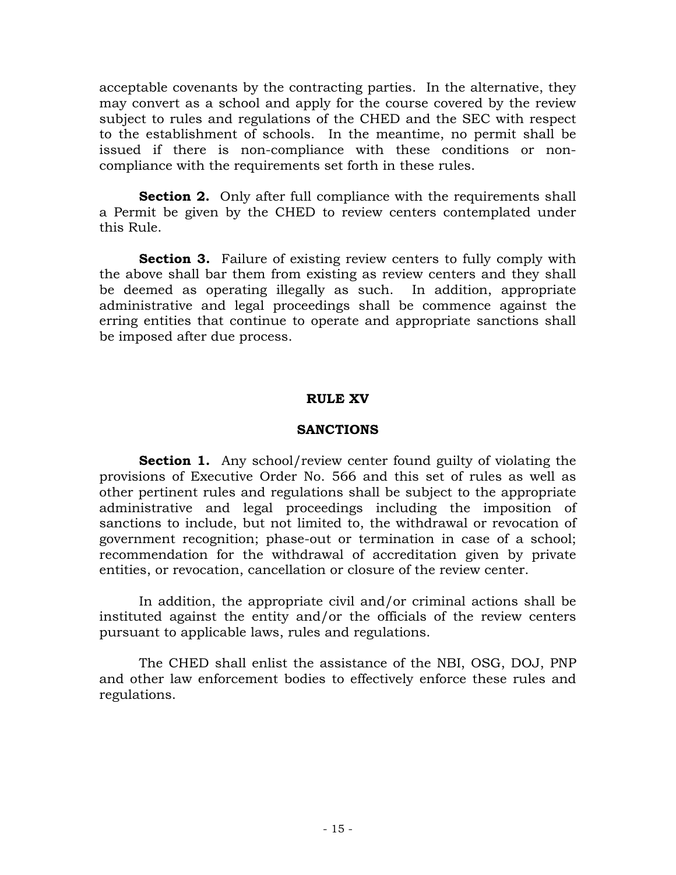acceptable covenants by the contracting parties. In the alternative, they may convert as a school and apply for the course covered by the review subject to rules and regulations of the CHED and the SEC with respect to the establishment of schools. In the meantime, no permit shall be issued if there is non-compliance with these conditions or noncompliance with the requirements set forth in these rules.

**Section 2.** Only after full compliance with the requirements shall a Permit be given by the CHED to review centers contemplated under this Rule.

**Section 3.** Failure of existing review centers to fully comply with the above shall bar them from existing as review centers and they shall be deemed as operating illegally as such. In addition, appropriate administrative and legal proceedings shall be commence against the erring entities that continue to operate and appropriate sanctions shall be imposed after due process.

## **RULE XV**

## **SANCTIONS**

**Section 1.** Any school/review center found guilty of violating the provisions of Executive Order No. 566 and this set of rules as well as other pertinent rules and regulations shall be subject to the appropriate administrative and legal proceedings including the imposition of sanctions to include, but not limited to, the withdrawal or revocation of government recognition; phase-out or termination in case of a school; recommendation for the withdrawal of accreditation given by private entities, or revocation, cancellation or closure of the review center.

 In addition, the appropriate civil and/or criminal actions shall be instituted against the entity and/or the officials of the review centers pursuant to applicable laws, rules and regulations.

 The CHED shall enlist the assistance of the NBI, OSG, DOJ, PNP and other law enforcement bodies to effectively enforce these rules and regulations.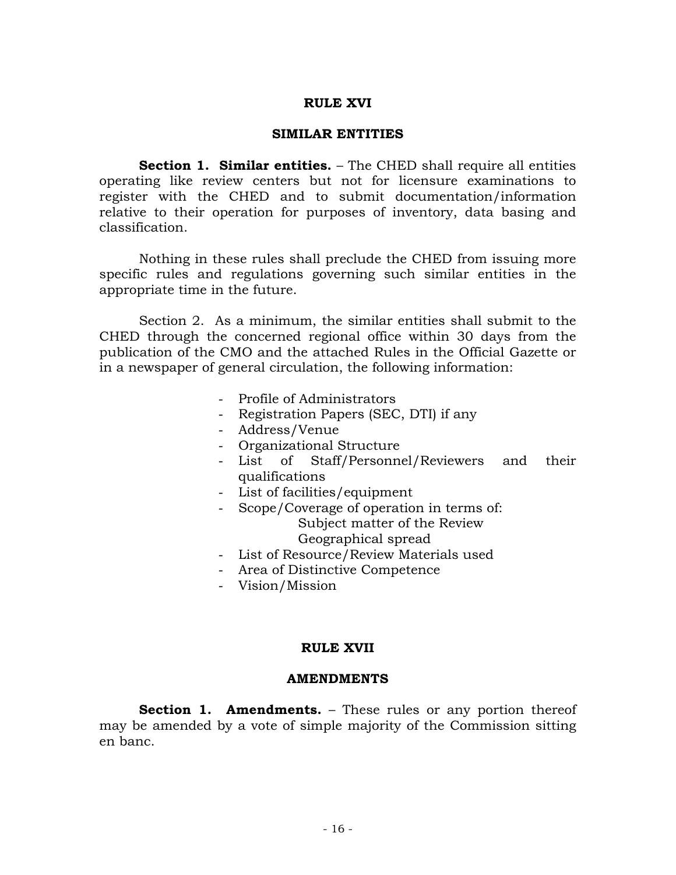## **RULE XVI**

### **SIMILAR ENTITIES**

**Section 1. Similar entities.** – The CHED shall require all entities operating like review centers but not for licensure examinations to register with the CHED and to submit documentation/information relative to their operation for purposes of inventory, data basing and classification.

 Nothing in these rules shall preclude the CHED from issuing more specific rules and regulations governing such similar entities in the appropriate time in the future.

 Section 2. As a minimum, the similar entities shall submit to the CHED through the concerned regional office within 30 days from the publication of the CMO and the attached Rules in the Official Gazette or in a newspaper of general circulation, the following information:

- Profile of Administrators
- Registration Papers (SEC, DTI) if any
- Address/Venue
- Organizational Structure
- List of Staff/Personnel/Reviewers and their qualifications
- List of facilities/equipment
- Scope/Coverage of operation in terms of: Subject matter of the Review Geographical spread
- List of Resource/Review Materials used
- Area of Distinctive Competence
- Vision/Mission

### **RULE XVII**

#### **AMENDMENTS**

**Section 1. Amendments.** – These rules or any portion thereof may be amended by a vote of simple majority of the Commission sitting en banc.